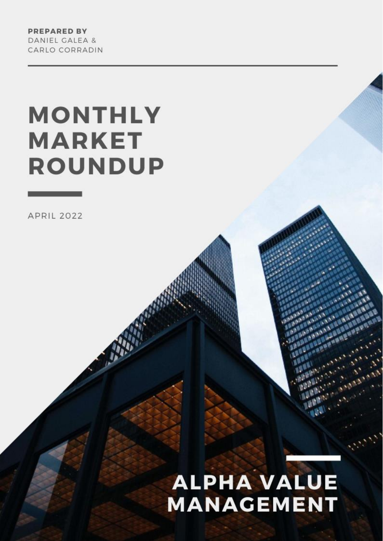**PREPARED BY** DANIEL GALEA & CARLO CORRADIN

# **MONTHLY MARKET ROUNDUP**

**APRIL 2022** 

# **ALPHA VALUE MANAGEMENT**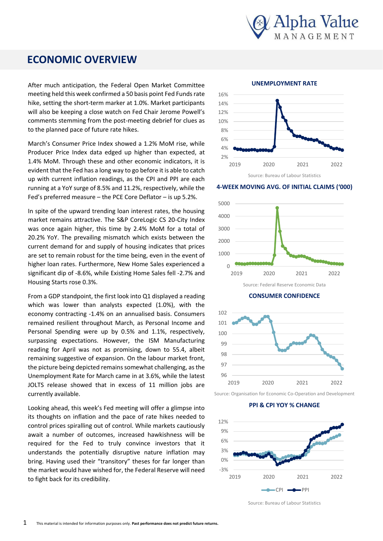

## **ECONOMIC OVERVIEW**

meeting held this week confirmed a 50 basis point Fed Funds rate After much anticipation, the Federal Open Market Committee hike, setting the short-term marker at 1.0%. Market participants will also be keeping a close watch on Fed Chair Jerome Powell's comments stemming from the post-meeting debrief for clues as to the planned pace of future rate hikes.

March's Consumer Price Index showed a 1.2% MoM rise, while Producer Price Index data edged up higher than expected, at 1.4% MoM. Through these and other economic indicators, it is evident that the Fed has a long way to go before it is able to catch up with current inflation readings, as the CPI and PPI are each running at a YoY surge of 8.5% and 11.2%, respectively, while the Fed's preferred measure – the PCE Core Deflator – is up 5.2%.

In spite of the upward trending loan interest rates, the housing market remains attractive. The S&P CoreLogic CS 20-City Index was once again higher, this time by 2.4% MoM for a total of 20.2% YoY. The prevailing mismatch which exists between the current demand for and supply of housing indicates that prices are set to remain robust for the time being, even in the event of higher loan rates. Furthermore, New Home Sales experienced a significant dip of -8.6%, while Existing Home Sales fell -2.7% and Housing Starts rose 0.3%.

From a GDP standpoint, the first look into Q1 displayed a reading which was lower than analysts expected (1.0%), with the economy contracting -1.4% on an annualised basis. Consumers remained resilient throughout March, as Personal Income and Personal Spending were up by 0.5% and 1.1%, respectively, surpassing expectations. However, the ISM Manufacturing reading for April was not as promising, down to 55.4, albeit remaining suggestive of expansion. On the labour market front, the picture being depicted remains somewhat challenging, as the Unemployment Rate for March came in at 3.6%, while the latest JOLTS release showed that in excess of 11 million jobs are currently available.

Looking ahead, this week's Fed meeting will offer a glimpse into its thoughts on inflation and the pace of rate hikes needed to control prices spiralling out of control. While markets cautiously await a number of outcomes, increased hawkishness will be required for the Fed to truly convince investors that it understands the potentially disruptive nature inflation may bring. Having used their "transitory" theses for far longer than the market would have wished for, the Federal Reserve will need to fight back for its credibility.



**4-WEEK MOVING AVG. OF INITIAL CLAIMS ('000)**



**CONSUMER CONFIDENCE**



Source: Organisation for Economic Co-Operation and Development

**PPI & CPI YOY % CHANGE**



Source: Bureau of Labour Statistics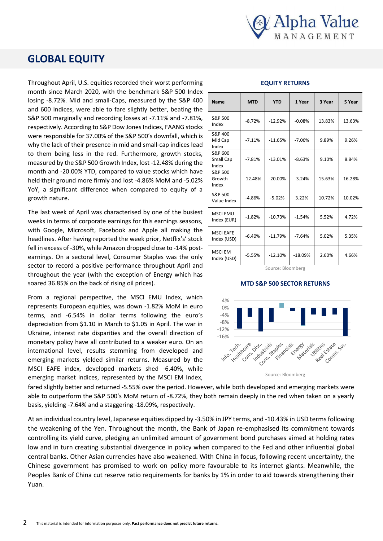

## **GLOBAL EQUITY**

Throughout April, U.S. equities recorded their worst performing month since March 2020, with the benchmark S&P 500 Index losing -8.72%. Mid and small-Caps, measured by the S&P 400 and 600 Indices, were able to fare slightly better, beating the S&P 500 marginally and recording losses at -7.11% and -7.81%, respectively. According to S&P Dow Jones Indices, FAANG stocks were responsible for 37.00% of the S&P 500's downfall, which is why the lack of their presence in mid and small-cap indices lead to them being less in the red. Furthermore, growth stocks, measured by the S&P 500 Growth Index, lost -12.48% during the month and -20.00% YTD, compared to value stocks which have held their ground more firmly and lost -4.86% MoM and -5.02% YoY, a significant difference when compared to equity of a growth nature.

The last week of April was characterised by one of the busiest weeks in terms of corporate earnings for this earnings seasons, with Google, Microsoft, Facebook and Apple all making the headlines. After having reported the week prior, Netflix's' stock fell in excess of -30%, while Amazon dropped close to -14% postearnings. On a sectoral level, Consumer Staples was the only sector to record a positive performance throughout April and throughout the year (with the exception of Energy which has soared 36.85% on the back of rising oil prices).

From a regional perspective, the MSCI EMU Index, which represents European equities, was down -1.82% MoM in euro terms, and -6.54% in dollar terms following the euro's depreciation from \$1.10 in March to \$1.05 in April. The war in Ukraine, interest rate disparities and the overall direction of monetary policy have all contributed to a weaker euro. On an international level, results stemming from developed and emerging markets yielded similar returns. Measured by the MSCI EAFE index, developed markets shed -6.40%, while emerging market indices, represented by the MSCI EM Index,

#### **Name MTD YTD 1 Year 3 Year 5 Year**  $S$  $R$  $P$  500  $\frac{32.5336}{100}$  -8.72% -12.92% -0.08% 13.83% 13.63% S&P 400 Mid Cap Index  $-7.11\%$   $-11.65\%$   $-7.06\%$  9.89% 9.26% S&P 600 Small Cap Index  $-7.81\%$   $-13.01\%$   $-8.63\%$  9.10% 8.84% S&P 500 Growth Index  $-12.48\%$   $-20.00\%$   $-3.24\%$  15.63% 16.28% S&P 500 Value Index  $\begin{vmatrix} -4.86\% & -5.02\% \end{vmatrix}$  3.22% 10.72% 10.02% MSCLEMU  $\left| \frac{1}{100} \right|$  -1.82% -10.73% -1.54% 5.52% 4.72% MSCI EAFE  $\frac{1}{100}$  -6.40% -11.79% -7.64% 5.02% 5.35%

**EQUITY RETURNS**

### $\left| \frac{1}{100 \times 1000} \right|$  -5.55% -12.10% -18.09% 2.60% 4.66% Source: Bloomberg

#### **MTD S&P 500 SECTOR RETURNS**



fared slightly better and returned -5.55% over the period. fared slightly better and returned -5.55% over the period. However, while both developed and emerging markets were able to outperform the S&P 500's MoM return of -8.72%, they both remain deeply in the red when taken on a yearly basis, yielding -7.64% and a staggering -18.09%, respectively.

MSCI EM

At an individual country level, Japanese equities dipped by -3.50% in JPY terms, and -10.43% in USD terms following the weakening of the Yen. Throughout the month, the Bank of Japan re-emphasised its commitment towards controlling its yield curve, pledging an unlimited amount of government bond purchases aimed at holding rates low and in turn creating substantial divergence in policy when compared to the Fed and other influential global central banks. Other Asian currencies have also weakened. With China in focus, following recent uncertainty, the Chinese government has promised to work on policy more favourable to its internet giants. Meanwhile, the Peoples Bank of China cut reserve ratio requirements for banks by 1% in order to aid towards strengthening their Yuan.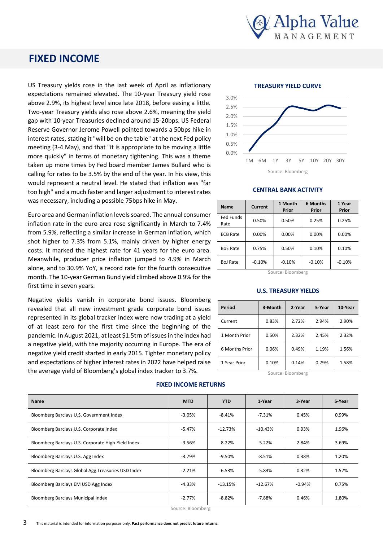

## **FIXED INCOME**

US Treasury yields rose in the last week of April as inflationary expectations remained elevated. The 10-year Treasury yield rose above 2.9%, its highest level since late 2018, before easing a little. Two-year Treasury yields also rose above 2.6%, meaning the yield gap with 10-year Treasuries declined around 15-20bps. US Federal Reserve Governor Jerome Powell pointed towards a 50bps hike in interest rates, stating it "will be on the table" at the next Fed policy meeting (3-4 May), and that "it is appropriate to be moving a little more quickly" in terms of monetary tightening. This was a theme taken up more times by Fed board member James Bullard who is calling for rates to be 3.5% by the end of the year. In his view, this would represent a neutral level. He stated that inflation was "far too high" and a much faster and larger adjustment to interest rates was necessary, including a possible 75bps hike in May.

Euro area and German inflation levels soared. The annual consumer inflation rate in the euro area rose significantly in March to 7.4% from 5.9%, reflecting a similar increase in German inflation, which shot higher to 7.3% from 5.1%, mainly driven by higher energy costs. It marked the highest rate for 41 years for the euro area. Meanwhile, producer price inflation jumped to 4.9% in March alone, and to 30.9% YoY, a record rate for the fourth consecutive month. The 10-year German Bund yield climbed above 0.9% for the first time in seven years.

Negative yields vanish in corporate bond issues. Bloomberg revealed that all new investment grade corporate bond issues represented in its global tracker index were now trading at a yield of at least zero for the first time since the beginning of the pandemic. In August 2021, at least \$1.5trn of issues in the index had a negative yield, with the majority occurring in Europe. The era of negative yield credit started in early 2015. Tighter monetary policy and expectations of higher interest rates in 2022 have helped raise the average yield of Bloomberg's global index tracker to 3.7%.

**TREASURY YIELD CURVE**



#### **CENTRAL BANK ACTIVITY**

| <b>Name</b>       | Current  | 1 Month<br>Prior | 6 Months<br>Prior | 1 Year<br>Prior |
|-------------------|----------|------------------|-------------------|-----------------|
| Fed Funds<br>Rate | 0.50%    | 0.50%            | 0.25%             | 0.25%           |
| <b>ECB Rate</b>   | 0.00%    | 0.00%            | 0.00%             | $0.00\%$        |
| <b>BoE Rate</b>   | 0.75%    | 0.50%            | 0.10%             | 0.10%           |
| <b>BoJ Rate</b>   | $-0.10%$ | $-0.10%$         | $-0.10%$          | $-0.10%$        |

Source: Bloomberg

#### **U.S. TREASURY YIELDS**

| Period         | 3-Month | 2-Year | 5-Year | 10-Year |
|----------------|---------|--------|--------|---------|
| Current        | 0.83%   | 2.72%  | 2.94%  | 2.90%   |
| 1 Month Prior  | 0.50%   | 2.32%  | 2.45%  | 2.32%   |
| 6 Months Prior | 0.06%   | 0.49%  | 1.19%  | 1.56%   |
| 1 Year Prior   | 0.10%   | 0.14%  | 0.79%  | 1.58%   |

Source: Bloomberg

| <b>Name</b>                                        | <b>MTD</b> | <b>YTD</b> | 1-Year    | 3-Year   | 5-Year |
|----------------------------------------------------|------------|------------|-----------|----------|--------|
| Bloomberg Barclays U.S. Government Index           | $-3.05%$   | $-8.41%$   | $-7.31%$  | 0.45%    | 0.99%  |
| Bloomberg Barclays U.S. Corporate Index            | -5.47%     | $-12.73%$  | $-10.43%$ | 0.93%    | 1.96%  |
| Bloomberg Barclays U.S. Corporate High-Yield Index | $-3.56%$   | $-8.22%$   | $-5.22%$  | 2.84%    | 3.69%  |
| Bloomberg Barclays U.S. Agg Index                  | $-3.79%$   | -9.50%     | $-8.51\%$ | 0.38%    | 1.20%  |
| Bloomberg Barclays Global Agg Treasuries USD Index | $-2.21%$   | $-6.53%$   | $-5.83%$  | 0.32%    | 1.52%  |
| Bloomberg Barclays EM USD Agg Index                | -4.33%     | $-13.15%$  | $-12.67%$ | $-0.94%$ | 0.75%  |
| Bloomberg Barclays Municipal Index                 | $-2.77%$   | $-8.82\%$  | $-7.88\%$ | 0.46%    | 1.80%  |

**FIXED INCOME RETURNS**

Source: Bloomberg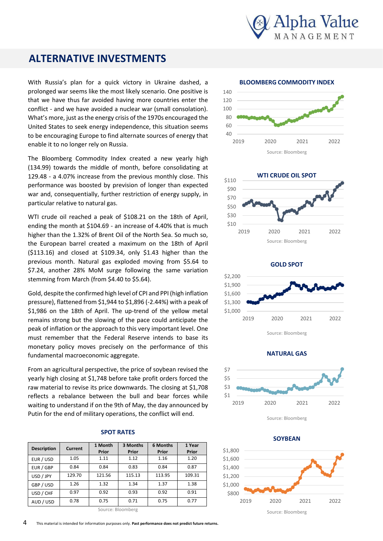

## **ALTERNATIVE INVESTMENTS**

With Russia's plan for a quick victory in Ukraine dashed, a prolonged war seems like the most likely scenario. One positive is that we have thus far avoided having more countries enter the conflict - and we have avoided a nuclear war (small consolation). What's more, just as the energy crisis of the 1970s encouraged the United States to seek energy independence, this situation seems to be encouraging Europe to find alternate sources of energy that enable it to no longer rely on Russia.

The Bloomberg Commodity Index created a new yearly high (134.99) towards the middle of month, before consolidating at 129.48 - a 4.07% increase from the previous monthly close. This performance was boosted by prevision of longer than expected war and, consequentially, further restriction of energy supply, in particular relative to natural gas.

WTI crude oil reached a peak of \$108.21 on the 18th of April, ending the month at \$104.69 - an increase of 4.40% that is much higher than the 1.32% of Brent Oil of the North Sea. So much so, the European barrel created a maximum on the 18th of April (\$113.16) and closed at \$109.34, only \$1.43 higher than the previous month. Natural gas exploded moving from \$5.64 to \$7.24, another 28% MoM surge following the same variation stemming from March (from \$4.40 to \$5.64).

Gold, despite the confirmed high level of CPI and PPI (high inflation pressure), flattened from \$1,944 to \$1,896 (-2.44%) with a peak of \$1,986 on the 18th of April. The up-trend of the yellow metal remains strong but the slowing of the pace could anticipate the peak of inflation or the approach to this very important level. One must remember that the Federal Reserve intends to base its monetary policy moves precisely on the performance of this fundamental macroeconomic aggregate.

From an agricultural perspective, the price of soybean revised the yearly high closing at \$1,748 before take profit orders forced the raw material to revise its price downwards. The closing at \$1,708 reflects a rebalance between the bull and bear forces while waiting to understand if on the 9th of May, the day announced by Putin for the end of military operations, the conflict will end.

#### **SPOT RATES**

| <b>Description</b> | Current | 1 Month<br>Prior | 3 Months<br>Prior | 6 Months<br>Prior | 1 Year<br>Prior |
|--------------------|---------|------------------|-------------------|-------------------|-----------------|
| EUR / USD          | 1.05    | 1.11             | 1.12              | 1.16              | 1.20            |
| EUR / GBP          | 0.84    | 0.84             | 0.83              | 0.84              | 0.87            |
| USD / JPY          | 129.70  | 121.56           | 115.13            | 113.95            | 109.31          |
| GBP / USD          | 1.26    | 1.32             | 1.34              | 1.37              | 1.38            |
| USD / CHF          | 0.97    | 0.92             | 0.93              | 0.92              | 0.91            |
| AUD / USD          | 0.78    | 0.75             | 0.71              | 0.75              | 0.77            |

Source: Bloomberg

#### **BLOOMBERG COMMODITY INDEX**